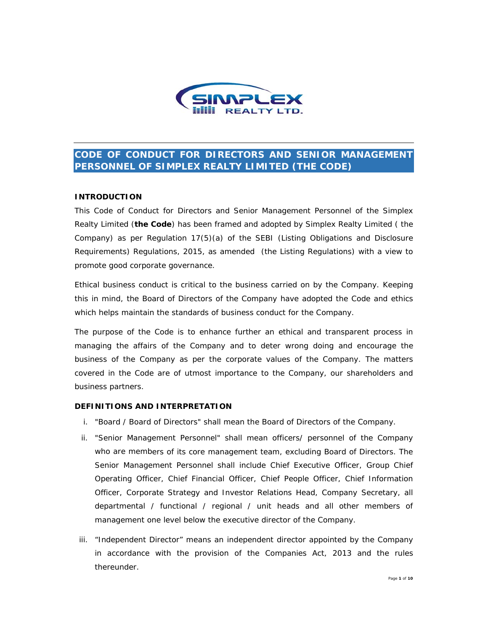

# **CODE OF CONDUCT FOR DIRECTORS AND SENIOR MANAGEMENT PERSONNEL OF SIMPLEX REALTY LIMITED (THE CODE)**

### **INTRODUCTION**

This Code of Conduct for Directors and Senior Management Personnel of the Simplex Realty Limited (**the Code**) has been framed and adopted by Simplex Realty Limited ( the Company) as per Regulation 17(5)(a) of the SEBI (Listing Obligations and Disclosure Requirements) Regulations, 2015, as amended (the Listing Regulations) with a view to promote good corporate governance.

Ethical business conduct is critical to the business carried on by the Company. Keeping this in mind, the Board of Directors of the Company have adopted the Code and ethics which helps maintain the standards of business conduct for the Company.

The purpose of the Code is to enhance further an ethical and transparent process in managing the affairs of the Company and to deter wrong doing and encourage the business of the Company as per the corporate values of the Company. The matters covered in the Code are of utmost importance to the Company, our shareholders and business partners.

### **DEFINITIONS AND INTERPRETATION**

- i. "Board / Board of Directors" shall mean the Board of Directors of the Company.
- ii. "Senior Management Personnel" shall mean officers/ personnel of the Company who are members of its core management team, excluding Board of Directors. The Senior Management Personnel shall include Chief Executive Officer, Group Chief Operating Officer, Chief Financial Officer, Chief People Officer, Chief Information Officer, Corporate Strategy and Investor Relations Head, Company Secretary, all departmental / functional / regional / unit heads and all other members of management one level below the executive director of the Company.
- iii. "Independent Director" means an independent director appointed by the Company in accordance with the provision of the Companies Act, 2013 and the rules thereunder.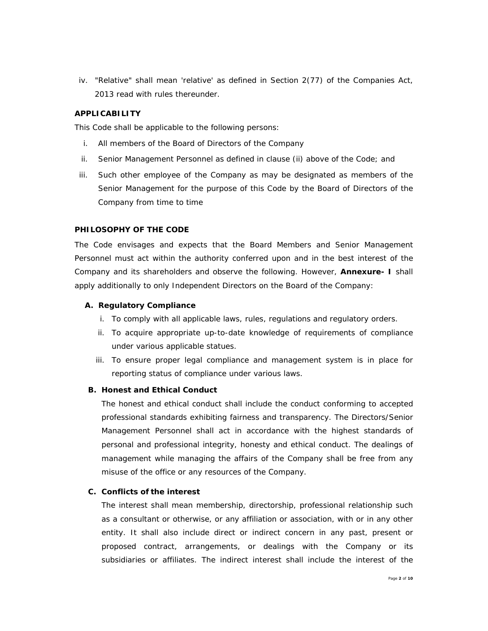iv. "Relative" shall mean 'relative' as defined in Section 2(77) of the Companies Act, 2013 read with rules thereunder.

### **APPLICABILITY**

This Code shall be applicable to the following persons:

- i. All members of the Board of Directors of the Company
- ii. Senior Management Personnel as defined in clause (ii) above of the Code; and
- iii. Such other employee of the Company as may be designated as members of the Senior Management for the purpose of this Code by the Board of Directors of the Company from time to time

#### **PHILOSOPHY OF THE CODE**

The Code envisages and expects that the Board Members and Senior Management Personnel must act within the authority conferred upon and in the best interest of the Company and its shareholders and observe the following. However, **Annexure- I** shall apply additionally to only Independent Directors on the Board of the Company:

#### **A. Regulatory Compliance**

- i. To comply with all applicable laws, rules, regulations and regulatory orders.
- ii. To acquire appropriate up-to-date knowledge of requirements of compliance under various applicable statues.
- iii. To ensure proper legal compliance and management system is in place for reporting status of compliance under various laws.

#### **B. Honest and Ethical Conduct**

The honest and ethical conduct shall include the conduct conforming to accepted professional standards exhibiting fairness and transparency. The Directors/Senior Management Personnel shall act in accordance with the highest standards of personal and professional integrity, honesty and ethical conduct. The dealings of management while managing the affairs of the Company shall be free from any misuse of the office or any resources of the Company.

### **C. Conflicts of the interest**

The interest shall mean membership, directorship, professional relationship such as a consultant or otherwise, or any affiliation or association, with or in any other entity. It shall also include direct or indirect concern in any past, present or proposed contract, arrangements, or dealings with the Company or its subsidiaries or affiliates. The indirect interest shall include the interest of the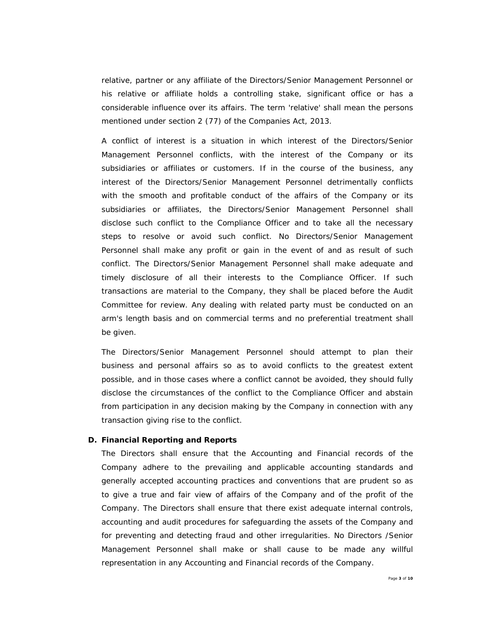relative, partner or any affiliate of the Directors/Senior Management Personnel or his relative or affiliate holds a controlling stake, significant office or has a considerable influence over its affairs. The term 'relative' shall mean the persons mentioned under section 2 (77) of the Companies Act, 2013.

A conflict of interest is a situation in which interest of the Directors/Senior Management Personnel conflicts, with the interest of the Company or its subsidiaries or affiliates or customers. If in the course of the business, any interest of the Directors/Senior Management Personnel detrimentally conflicts with the smooth and profitable conduct of the affairs of the Company or its subsidiaries or affiliates, the Directors/Senior Management Personnel shall disclose such conflict to the Compliance Officer and to take all the necessary steps to resolve or avoid such conflict. No Directors/Senior Management Personnel shall make any profit or gain in the event of and as result of such conflict. The Directors/Senior Management Personnel shall make adequate and timely disclosure of all their interests to the Compliance Officer. If such transactions are material to the Company, they shall be placed before the Audit Committee for review. Any dealing with related party must be conducted on an arm's length basis and on commercial terms and no preferential treatment shall be given.

The Directors/Senior Management Personnel should attempt to plan their business and personal affairs so as to avoid conflicts to the greatest extent possible, and in those cases where a conflict cannot be avoided, they should fully disclose the circumstances of the conflict to the Compliance Officer and abstain from participation in any decision making by the Company in connection with any transaction giving rise to the conflict.

#### **D. Financial Reporting and Reports**

The Directors shall ensure that the Accounting and Financial records of the Company adhere to the prevailing and applicable accounting standards and generally accepted accounting practices and conventions that are prudent so as to give a true and fair view of affairs of the Company and of the profit of the Company. The Directors shall ensure that there exist adequate internal controls, accounting and audit procedures for safeguarding the assets of the Company and for preventing and detecting fraud and other irregularities. No Directors /Senior Management Personnel shall make or shall cause to be made any willful representation in any Accounting and Financial records of the Company.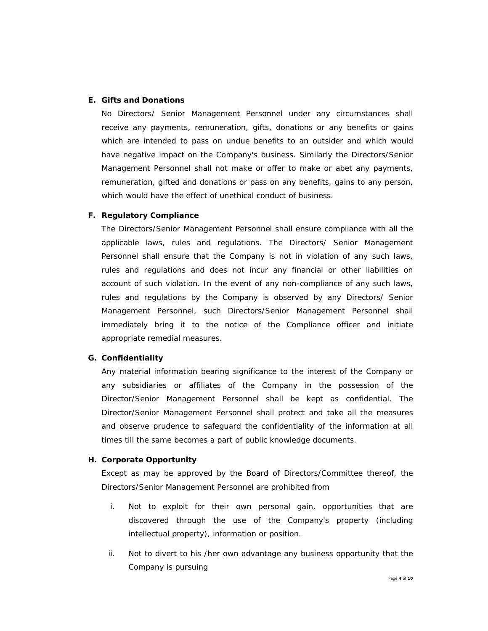### **E. Gifts and Donations**

No Directors/ Senior Management Personnel under any circumstances shall receive any payments, remuneration, gifts, donations or any benefits or gains which are intended to pass on undue benefits to an outsider and which would have negative impact on the Company's business. Similarly the Directors/Senior Management Personnel shall not make or offer to make or abet any payments, remuneration, gifted and donations or pass on any benefits, gains to any person, which would have the effect of unethical conduct of business.

### **F. Regulatory Compliance**

The Directors/Senior Management Personnel shall ensure compliance with all the applicable laws, rules and regulations. The Directors/ Senior Management Personnel shall ensure that the Company is not in violation of any such laws, rules and regulations and does not incur any financial or other liabilities on account of such violation. In the event of any non-compliance of any such laws, rules and regulations by the Company is observed by any Directors/ Senior Management Personnel, such Directors/Senior Management Personnel shall immediately bring it to the notice of the Compliance officer and initiate appropriate remedial measures.

#### **G. Confidentiality**

Any material information bearing significance to the interest of the Company or any subsidiaries or affiliates of the Company in the possession of the Director/Senior Management Personnel shall be kept as confidential. The Director/Senior Management Personnel shall protect and take all the measures and observe prudence to safeguard the confidentiality of the information at all times till the same becomes a part of public knowledge documents.

### **H. Corporate Opportunity**

Except as may be approved by the Board of Directors/Committee thereof, the Directors/Senior Management Personnel are prohibited from

- i. Not to exploit for their own personal gain, opportunities that are discovered through the use of the Company's property (including intellectual property), information or position.
- ii. Not to divert to his /her own advantage any business opportunity that the Company is pursuing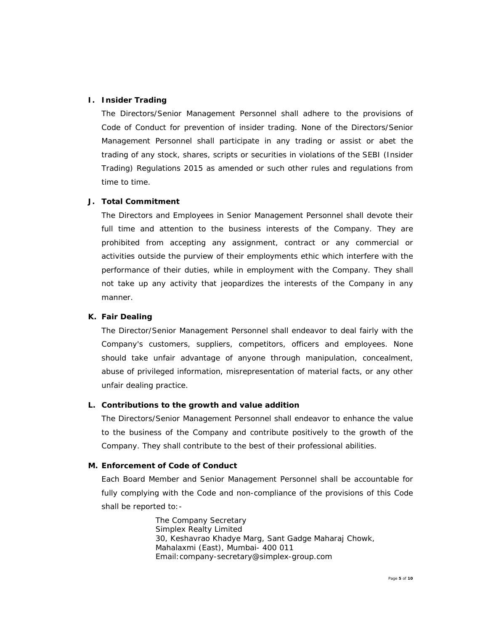### **I. Insider Trading**

The Directors/Senior Management Personnel shall adhere to the provisions of Code of Conduct for prevention of insider trading. None of the Directors/Senior Management Personnel shall participate in any trading or assist or abet the trading of any stock, shares, scripts or securities in violations of the SEBI (Insider Trading) Regulations 2015 as amended or such other rules and regulations from time to time.

### **J. Total Commitment**

The Directors and Employees in Senior Management Personnel shall devote their full time and attention to the business interests of the Company. They are prohibited from accepting any assignment, contract or any commercial or activities outside the purview of their employments ethic which interfere with the performance of their duties, while in employment with the Company. They shall not take up any activity that jeopardizes the interests of the Company in any manner.

#### **K. Fair Dealing**

The Director/Senior Management Personnel shall endeavor to deal fairly with the Company's customers, suppliers, competitors, officers and employees. None should take unfair advantage of anyone through manipulation, concealment, abuse of privileged information, misrepresentation of material facts, or any other unfair dealing practice.

#### **L. Contributions to the growth and value addition**

The Directors/Senior Management Personnel shall endeavor to enhance the value to the business of the Company and contribute positively to the growth of the Company. They shall contribute to the best of their professional abilities.

### **M. Enforcement of Code of Conduct**

Each Board Member and Senior Management Personnel shall be accountable for fully complying with the Code and non-compliance of the provisions of this Code shall be reported to:-

> The Company Secretary Simplex Realty Limited 30, Keshavrao Khadye Marg, Sant Gadge Maharaj Chowk, Mahalaxmi (East), Mumbai- 400 011 Email:company-secretary@simplex-group.com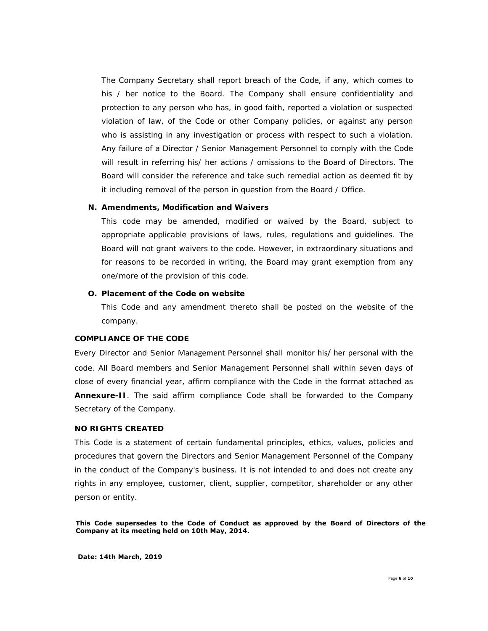The Company Secretary shall report breach of the Code, if any, which comes to his / her notice to the Board. The Company shall ensure confidentiality and protection to any person who has, in good faith, reported a violation or suspected violation of law, of the Code or other Company policies, or against any person who is assisting in any investigation or process with respect to such a violation. Any failure of a Director / Senior Management Personnel to comply with the Code will result in referring his/ her actions / omissions to the Board of Directors. The Board will consider the reference and take such remedial action as deemed fit by it including removal of the person in question from the Board / Office.

#### **N. Amendments, Modification and Waivers**

This code may be amended, modified or waived by the Board, subject to appropriate applicable provisions of laws, rules, regulations and guidelines. The Board will not grant waivers to the code. However, in extraordinary situations and for reasons to be recorded in writing, the Board may grant exemption from any one/more of the provision of this code.

# **O. Placement of the Code on website**

This Code and any amendment thereto shall be posted on the website of the company.

#### **COMPLIANCE OF THE CODE**

Every Director and Senior Management Personnel shall monitor his/ her personal with the code. All Board members and Senior Management Personnel shall within seven days of close of every financial year, affirm compliance with the Code in the format attached as **Annexure-II**. The said affirm compliance Code shall be forwarded to the Company Secretary of the Company.

#### **NO RIGHTS CREATED**

This Code is a statement of certain fundamental principles, ethics, values, policies and procedures that govern the Directors and Senior Management Personnel of the Company in the conduct of the Company's business. It is not intended to and does not create any rights in any employee, customer, client, supplier, competitor, shareholder or any other person or entity.

**This Code supersedes to the Code of Conduct as approved by the Board of Directors of the Company at its meeting held on 10th May, 2014.**

**Date: 14th March, 2019**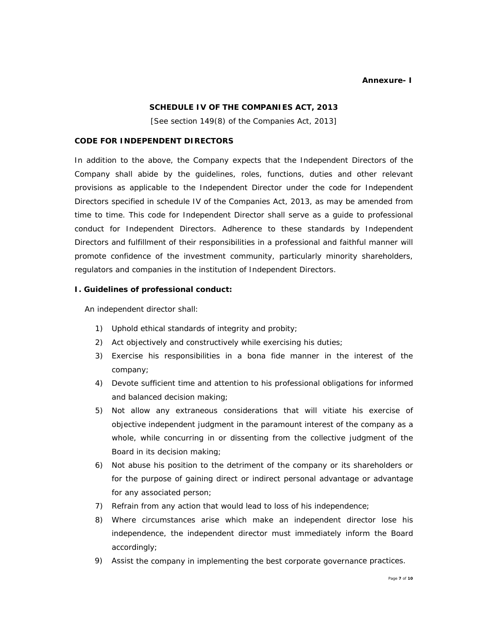#### **Annexure- I**

### **SCHEDULE IV OF THE COMPANIES ACT, 2013**

*[See section 149(8) of the Companies Act, 2013]* 

### **CODE FOR INDEPENDENT DIRECTORS**

In addition to the above, the Company expects that the Independent Directors of the Company shall abide by the guidelines, roles, functions, duties and other relevant provisions as applicable to the Independent Director under the code for Independent Directors specified in schedule IV of the Companies Act, 2013, as may be amended from time to time. This code for Independent Director shall serve as a guide to professional conduct for Independent Directors. Adherence to these standards by Independent Directors and fulfillment of their responsibilities in a professional and faithful manner will promote confidence of the investment community, particularly minority shareholders, regulators and companies in the institution of Independent Directors.

### **I. Guidelines of professional conduct:**

An independent director shall:

- 1) Uphold ethical standards of integrity and probity;
- 2) Act objectively and constructively while exercising his duties;
- 3) Exercise his responsibilities in a bona fide manner in the interest of the company;
- 4) Devote sufficient time and attention to his professional obligations for informed and balanced decision making;
- 5) Not allow any extraneous considerations that will vitiate his exercise of objective independent judgment in the paramount interest of the company as a whole, while concurring in or dissenting from the collective judgment of the Board in its decision making;
- 6) Not abuse his position to the detriment of the company or its shareholders or for the purpose of gaining direct or indirect personal advantage or advantage for any associated person;
- 7) Refrain from any action that would lead to loss of his independence;
- 8) Where circumstances arise which make an independent director lose his independence, the independent director must immediately inform the Board accordingly;
- 9) Assist the company in implementing the best corporate governance practices.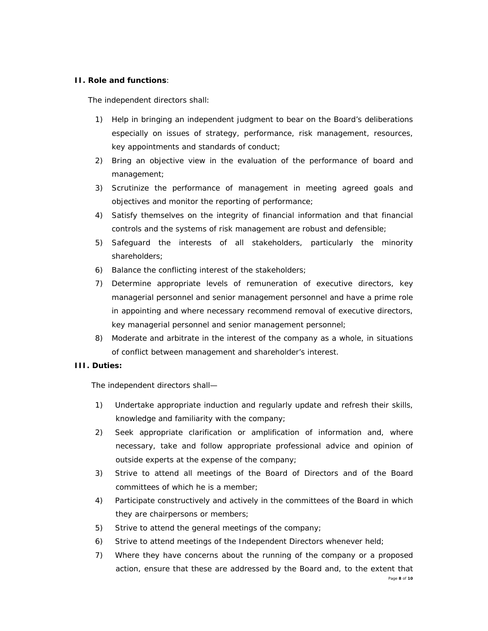### **II. Role and functions**:

The independent directors shall:

- 1) Help in bringing an independent judgment to bear on the Board's deliberations especially on issues of strategy, performance, risk management, resources, key appointments and standards of conduct;
- 2) Bring an objective view in the evaluation of the performance of board and management;
- 3) Scrutinize the performance of management in meeting agreed goals and objectives and monitor the reporting of performance;
- 4) Satisfy themselves on the integrity of financial information and that financial controls and the systems of risk management are robust and defensible;
- 5) Safeguard the interests of all stakeholders, particularly the minority shareholders;
- 6) Balance the conflicting interest of the stakeholders;
- 7) Determine appropriate levels of remuneration of executive directors, key managerial personnel and senior management personnel and have a prime role in appointing and where necessary recommend removal of executive directors, key managerial personnel and senior management personnel;
- 8) Moderate and arbitrate in the interest of the company as a whole, in situations of conflict between management and shareholder's interest.

### **III. Duties:**

The independent directors shall—

- 1) Undertake appropriate induction and regularly update and refresh their skills, knowledge and familiarity with the company;
- 2) Seek appropriate clarification or amplification of information and, where necessary, take and follow appropriate professional advice and opinion of outside experts at the expense of the company;
- 3) Strive to attend all meetings of the Board of Directors and of the Board committees of which he is a member;
- 4) Participate constructively and actively in the committees of the Board in which they are chairpersons or members;
- 5) Strive to attend the general meetings of the company;
- 6) Strive to attend meetings of the Independent Directors whenever held;
- Page **8** of **10** 7) Where they have concerns about the running of the company or a proposed action, ensure that these are addressed by the Board and, to the extent that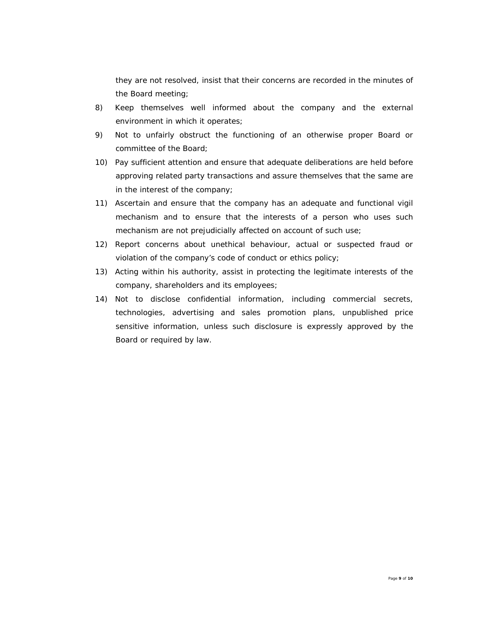they are not resolved, insist that their concerns are recorded in the minutes of the Board meeting;

- 8) Keep themselves well informed about the company and the external environment in which it operates;
- 9) Not to unfairly obstruct the functioning of an otherwise proper Board or committee of the Board;
- 10) Pay sufficient attention and ensure that adequate deliberations are held before approving related party transactions and assure themselves that the same are in the interest of the company;
- 11) Ascertain and ensure that the company has an adequate and functional vigil mechanism and to ensure that the interests of a person who uses such mechanism are not prejudicially affected on account of such use;
- 12) Report concerns about unethical behaviour, actual or suspected fraud or violation of the company's code of conduct or ethics policy;
- 13) Acting within his authority, assist in protecting the legitimate interests of the company, shareholders and its employees;
- 14) Not to disclose confidential information, including commercial secrets, technologies, advertising and sales promotion plans, unpublished price sensitive information, unless such disclosure is expressly approved by the Board or required by law.